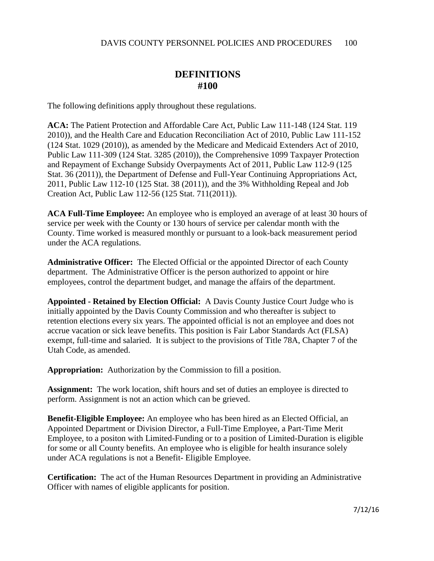## **DEFINITIONS #100**

The following definitions apply throughout these regulations.

**ACA:** The Patient Protection and Affordable Care Act, Public Law 111-148 (124 Stat. 119 2010)), and the Health Care and Education Reconciliation Act of 2010, Public Law 111-152 (124 Stat. 1029 (2010)), as amended by the Medicare and Medicaid Extenders Act of 2010, Public Law 111-309 (124 Stat. 3285 (2010)), the Comprehensive 1099 Taxpayer Protection and Repayment of Exchange Subsidy Overpayments Act of 2011, Public Law 112-9 (125 Stat. 36 (2011)), the Department of Defense and Full-Year Continuing Appropriations Act, 2011, Public Law 112-10 (125 Stat. 38 (2011)), and the 3% Withholding Repeal and Job Creation Act, Public Law 112-56 (125 Stat. 711(2011)).

**ACA Full-Time Employee:** An employee who is employed an average of at least 30 hours of service per week with the County or 130 hours of service per calendar month with the County. Time worked is measured monthly or pursuant to a look-back measurement period under the ACA regulations.

**Administrative Officer:** The Elected Official or the appointed Director of each County department. The Administrative Officer is the person authorized to appoint or hire employees, control the department budget, and manage the affairs of the department.

**Appointed - Retained by Election Official:** A Davis County Justice Court Judge who is initially appointed by the Davis County Commission and who thereafter is subject to retention elections every six years. The appointed official is not an employee and does not accrue vacation or sick leave benefits. This position is Fair Labor Standards Act (FLSA) exempt, full-time and salaried. It is subject to the provisions of Title 78A, Chapter 7 of the Utah Code, as amended.

**Appropriation:** Authorization by the Commission to fill a position.

**Assignment:** The work location, shift hours and set of duties an employee is directed to perform. Assignment is not an action which can be grieved.

**Benefit-Eligible Employee:** An employee who has been hired as an Elected Official, an Appointed Department or Division Director, a Full-Time Employee, a Part-Time Merit Employee, to a positon with Limited-Funding or to a position of Limited-Duration is eligible for some or all County benefits. An employee who is eligible for health insurance solely under ACA regulations is not a Benefit- Eligible Employee.

**Certification:** The act of the Human Resources Department in providing an Administrative Officer with names of eligible applicants for position.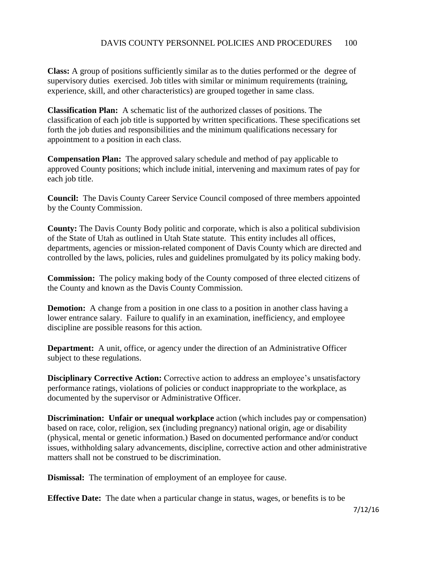**Class:** A group of positions sufficiently similar as to the duties performed or the degree of supervisory duties exercised. Job titles with similar or minimum requirements (training, experience, skill, and other characteristics) are grouped together in same class.

**Classification Plan:** A schematic list of the authorized classes of positions. The classification of each job title is supported by written specifications. These specifications set forth the job duties and responsibilities and the minimum qualifications necessary for appointment to a position in each class.

**Compensation Plan:** The approved salary schedule and method of pay applicable to approved County positions; which include initial, intervening and maximum rates of pay for each job title.

**Council:** The Davis County Career Service Council composed of three members appointed by the County Commission.

**County:** The Davis County Body politic and corporate, which is also a political subdivision of the State of Utah as outlined in Utah State statute. This entity includes all offices, departments, agencies or mission-related component of Davis County which are directed and controlled by the laws, policies, rules and guidelines promulgated by its policy making body.

**Commission:** The policy making body of the County composed of three elected citizens of the County and known as the Davis County Commission.

**Demotion:** A change from a position in one class to a position in another class having a lower entrance salary. Failure to qualify in an examination, inefficiency, and employee discipline are possible reasons for this action.

**Department:** A unit, office, or agency under the direction of an Administrative Officer subject to these regulations.

**Disciplinary Corrective Action:** Corrective action to address an employee's unsatisfactory performance ratings, violations of policies or conduct inappropriate to the workplace, as documented by the supervisor or Administrative Officer.

**Discrimination: Unfair or unequal workplace** action (which includes pay or compensation) based on race, color, religion, sex (including pregnancy) national origin, age or disability (physical, mental or genetic information.) Based on documented performance and/or conduct issues, withholding salary advancements, discipline, corrective action and other administrative matters shall not be construed to be discrimination.

**Dismissal:** The termination of employment of an employee for cause.

**Effective Date:** The date when a particular change in status, wages, or benefits is to be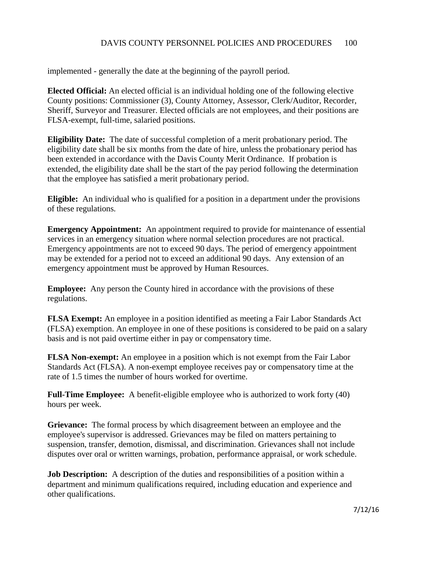implemented - generally the date at the beginning of the payroll period.

**Elected Official:** An elected official is an individual holding one of the following elective County positions: Commissioner (3), County Attorney, Assessor, Clerk/Auditor, Recorder, Sheriff, Surveyor and Treasurer. Elected officials are not employees, and their positions are FLSA-exempt, full-time, salaried positions.

**Eligibility Date:** The date of successful completion of a merit probationary period. The eligibility date shall be six months from the date of hire, unless the probationary period has been extended in accordance with the Davis County Merit Ordinance. If probation is extended, the eligibility date shall be the start of the pay period following the determination that the employee has satisfied a merit probationary period.

**Eligible:** An individual who is qualified for a position in a department under the provisions of these regulations.

**Emergency Appointment:** An appointment required to provide for maintenance of essential services in an emergency situation where normal selection procedures are not practical. Emergency appointments are not to exceed 90 days. The period of emergency appointment may be extended for a period not to exceed an additional 90 days. Any extension of an emergency appointment must be approved by Human Resources.

**Employee:** Any person the County hired in accordance with the provisions of these regulations.

**FLSA Exempt:** An employee in a position identified as meeting a Fair Labor Standards Act (FLSA) exemption. An employee in one of these positions is considered to be paid on a salary basis and is not paid overtime either in pay or compensatory time.

**FLSA Non-exempt:** An employee in a position which is not exempt from the Fair Labor Standards Act (FLSA). A non-exempt employee receives pay or compensatory time at the rate of 1.5 times the number of hours worked for overtime.

**Full-Time Employee:** A benefit-eligible employee who is authorized to work forty (40) hours per week.

**Grievance:** The formal process by which disagreement between an employee and the employee's supervisor is addressed. Grievances may be filed on matters pertaining to suspension, transfer, demotion, dismissal, and discrimination. Grievances shall not include disputes over oral or written warnings, probation, performance appraisal, or work schedule.

**Job Description:** A description of the duties and responsibilities of a position within a department and minimum qualifications required, including education and experience and other qualifications.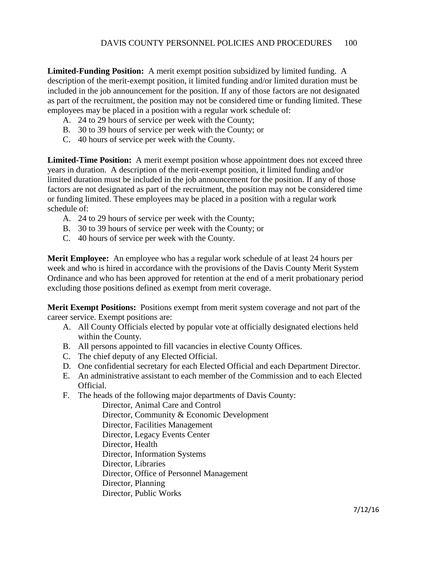**Limited-Funding Position:** A merit exempt position subsidized by limited funding. A description of the merit-exempt position, it limited funding and/or limited duration must be included in the job announcement for the position. If any of those factors are not designated as part of the recruitment, the position may not be considered time or funding limited. These employees may be placed in a position with a regular work schedule of:

- A. 24 to 29 hours of service per week with the County;
- B. 30 to 39 hours of service per week with the County; or
- C. 40 hours of service per week with the County.

**Limited-Time Position:** A merit exempt position whose appointment does not exceed three years in duration. A description of the merit-exempt position, it limited funding and/or limited duration must be included in the job announcement for the position. If any of those factors are not designated as part of the recruitment, the position may not be considered time or funding limited. These employees may be placed in a position with a regular work schedule of:

- A. 24 to 29 hours of service per week with the County;
- B. 30 to 39 hours of service per week with the County; or
- C. 40 hours of service per week with the County.

**Merit Employee:** An employee who has a regular work schedule of at least 24 hours per week and who is hired in accordance with the provisions of the Davis County Merit System Ordinance and who has been approved for retention at the end of a merit probationary period excluding those positions defined as exempt from merit coverage.

**Merit Exempt Positions:** Positions exempt from merit system coverage and not part of the career service. Exempt positions are:

- A. All County Officials elected by popular vote at officially designated elections held within the County.
- B. All persons appointed to fill vacancies in elective County Offices.
- C. The chief deputy of any Elected Official.
- D. One confidential secretary for each Elected Official and each Department Director.
- E. An administrative assistant to each member of the Commission and to each Elected Official.
- F. The heads of the following major departments of Davis County:

Director, Animal Care and Control Director, Community & Economic Development Director, Facilities Management Director, Legacy Events Center Director, Health Director, Information Systems Director, Libraries Director, Office of Personnel Management Director, Planning Director, Public Works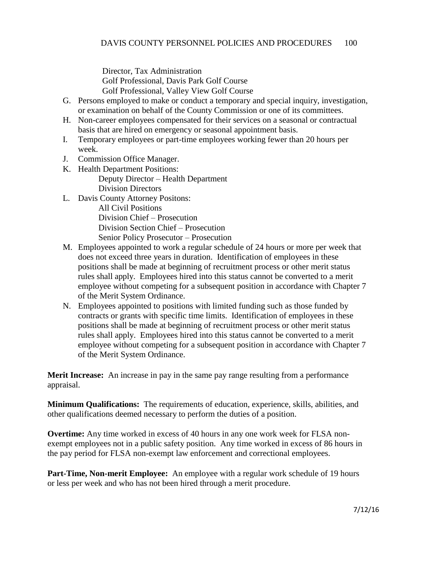Director, Tax Administration Golf Professional, Davis Park Golf Course Golf Professional, Valley View Golf Course

- G. Persons employed to make or conduct a temporary and special inquiry, investigation, or examination on behalf of the County Commission or one of its committees.
- H. Non-career employees compensated for their services on a seasonal or contractual basis that are hired on emergency or seasonal appointment basis.
- I. Temporary employees or part-time employees working fewer than 20 hours per week.
- J. Commission Office Manager.
- K. Health Department Positions: Deputy Director – Health Department Division Directors
- L. Davis County Attorney Positons:

All Civil Positions Division Chief – Prosecution Division Section Chief – Prosecution Senior Policy Prosecutor – Prosecution

- M. Employees appointed to work a regular schedule of 24 hours or more per week that does not exceed three years in duration. Identification of employees in these positions shall be made at beginning of recruitment process or other merit status rules shall apply. Employees hired into this status cannot be converted to a merit employee without competing for a subsequent position in accordance with Chapter 7 of the Merit System Ordinance.
- N. Employees appointed to positions with limited funding such as those funded by contracts or grants with specific time limits. Identification of employees in these positions shall be made at beginning of recruitment process or other merit status rules shall apply. Employees hired into this status cannot be converted to a merit employee without competing for a subsequent position in accordance with Chapter 7 of the Merit System Ordinance.

**Merit Increase:** An increase in pay in the same pay range resulting from a performance appraisal.

**Minimum Qualifications:** The requirements of education, experience, skills, abilities, and other qualifications deemed necessary to perform the duties of a position.

**Overtime:** Any time worked in excess of 40 hours in any one work week for FLSA nonexempt employees not in a public safety position. Any time worked in excess of 86 hours in the pay period for FLSA non-exempt law enforcement and correctional employees.

**Part-Time, Non-merit Employee:** An employee with a regular work schedule of 19 hours or less per week and who has not been hired through a merit procedure.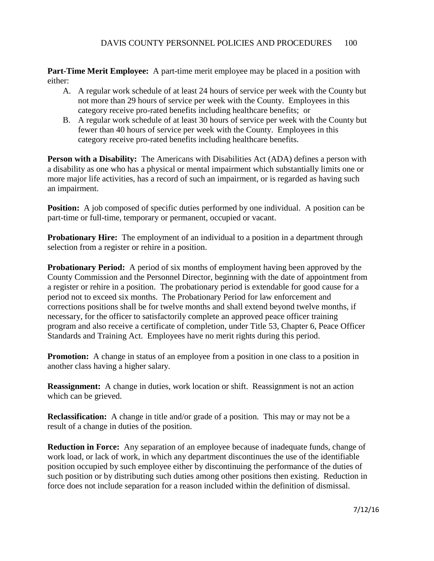**Part-Time Merit Employee:** A part-time merit employee may be placed in a position with either:

- A. A regular work schedule of at least 24 hours of service per week with the County but not more than 29 hours of service per week with the County. Employees in this category receive pro-rated benefits including healthcare benefits; or
- B. A regular work schedule of at least 30 hours of service per week with the County but fewer than 40 hours of service per week with the County. Employees in this category receive pro-rated benefits including healthcare benefits.

**Person with a Disability:** The Americans with Disabilities Act (ADA) defines a person with a disability as one who has a physical or mental impairment which substantially limits one or more major life activities, has a record of such an impairment, or is regarded as having such an impairment.

**Position:** A job composed of specific duties performed by one individual. A position can be part-time or full-time, temporary or permanent, occupied or vacant.

**Probationary Hire:** The employment of an individual to a position in a department through selection from a register or rehire in a position.

**Probationary Period:** A period of six months of employment having been approved by the County Commission and the Personnel Director, beginning with the date of appointment from a register or rehire in a position. The probationary period is extendable for good cause for a period not to exceed six months. The Probationary Period for law enforcement and corrections positions shall be for twelve months and shall extend beyond twelve months, if necessary, for the officer to satisfactorily complete an approved peace officer training program and also receive a certificate of completion, under Title 53, Chapter 6, Peace Officer Standards and Training Act. Employees have no merit rights during this period.

**Promotion:** A change in status of an employee from a position in one class to a position in another class having a higher salary.

**Reassignment:** A change in duties, work location or shift. Reassignment is not an action which can be grieved.

**Reclassification:** A change in title and/or grade of a position. This may or may not be a result of a change in duties of the position.

**Reduction in Force:** Any separation of an employee because of inadequate funds, change of work load, or lack of work, in which any department discontinues the use of the identifiable position occupied by such employee either by discontinuing the performance of the duties of such position or by distributing such duties among other positions then existing. Reduction in force does not include separation for a reason included within the definition of dismissal.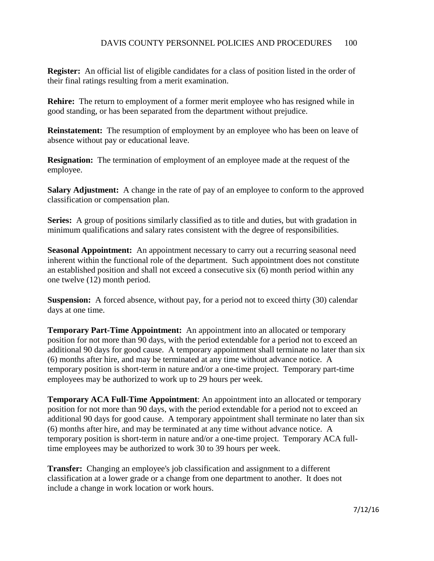**Register:** An official list of eligible candidates for a class of position listed in the order of their final ratings resulting from a merit examination.

**Rehire:** The return to employment of a former merit employee who has resigned while in good standing, or has been separated from the department without prejudice.

**Reinstatement:** The resumption of employment by an employee who has been on leave of absence without pay or educational leave.

**Resignation:** The termination of employment of an employee made at the request of the employee.

**Salary Adjustment:** A change in the rate of pay of an employee to conform to the approved classification or compensation plan.

**Series:** A group of positions similarly classified as to title and duties, but with gradation in minimum qualifications and salary rates consistent with the degree of responsibilities.

**Seasonal Appointment:** An appointment necessary to carry out a recurring seasonal need inherent within the functional role of the department. Such appointment does not constitute an established position and shall not exceed a consecutive six (6) month period within any one twelve (12) month period.

**Suspension:** A forced absence, without pay, for a period not to exceed thirty (30) calendar days at one time.

**Temporary Part-Time Appointment:** An appointment into an allocated or temporary position for not more than 90 days, with the period extendable for a period not to exceed an additional 90 days for good cause. A temporary appointment shall terminate no later than six (6) months after hire, and may be terminated at any time without advance notice. A temporary position is short-term in nature and/or a one-time project. Temporary part-time employees may be authorized to work up to 29 hours per week.

**Temporary ACA Full-Time Appointment**: An appointment into an allocated or temporary position for not more than 90 days, with the period extendable for a period not to exceed an additional 90 days for good cause. A temporary appointment shall terminate no later than six (6) months after hire, and may be terminated at any time without advance notice. A temporary position is short-term in nature and/or a one-time project. Temporary ACA fulltime employees may be authorized to work 30 to 39 hours per week.

**Transfer:** Changing an employee's job classification and assignment to a different classification at a lower grade or a change from one department to another. It does not include a change in work location or work hours.